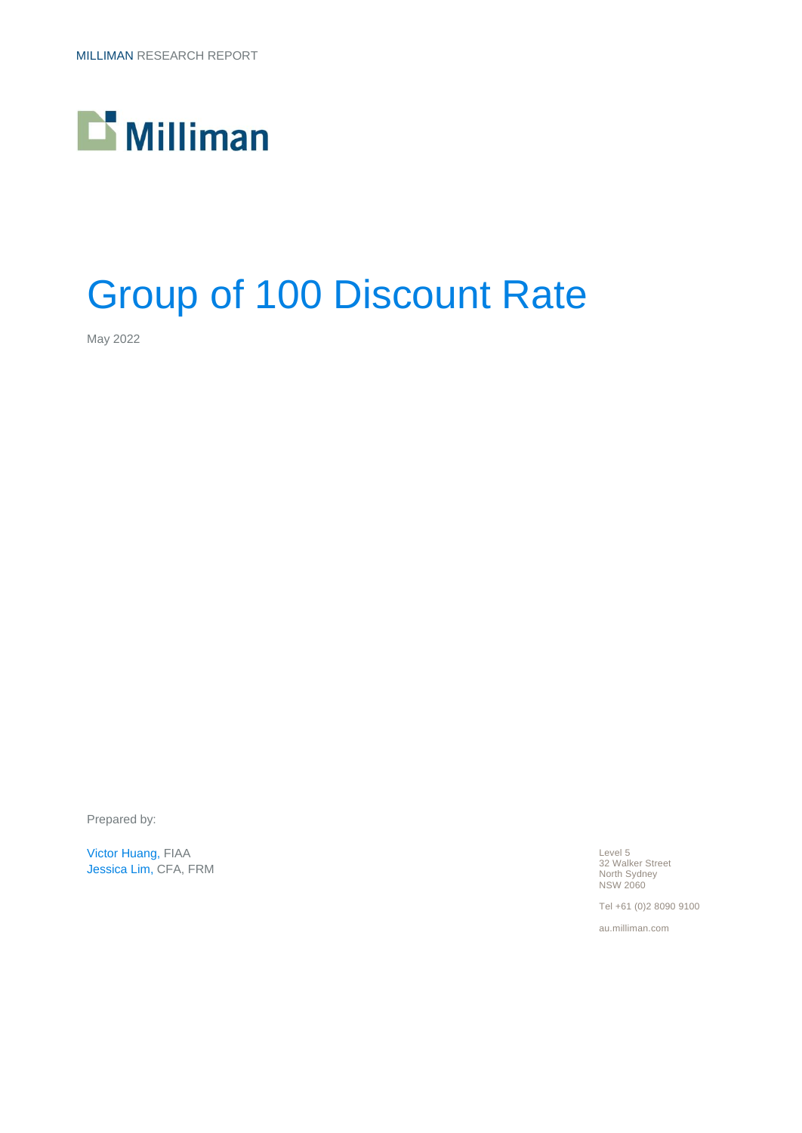

# Group of 100 Discount Rate

May 2022

Prepared by:

Victor Huang, FIAA Jessica Lim, CFA, FRM Level 5 32 Walker Street North Sydney NSW 2060

Tel +61 (0)2 8090 9100

au.milliman.com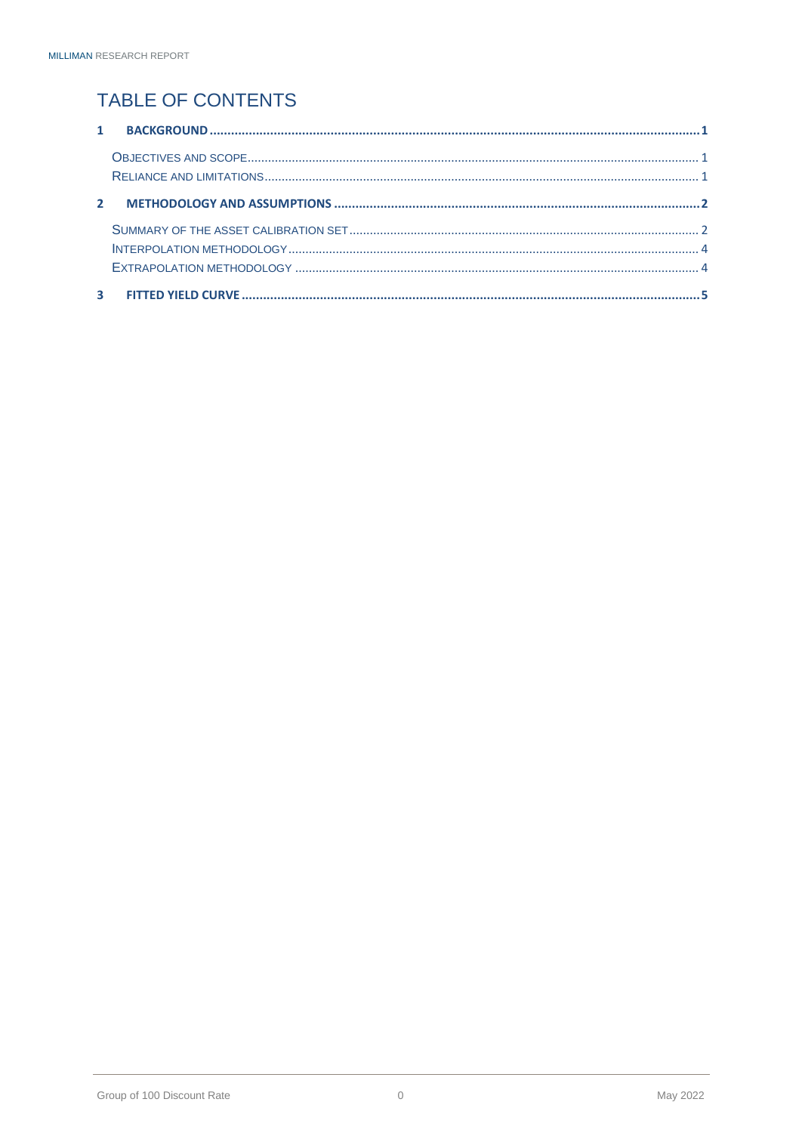### TABLE OF CONTENTS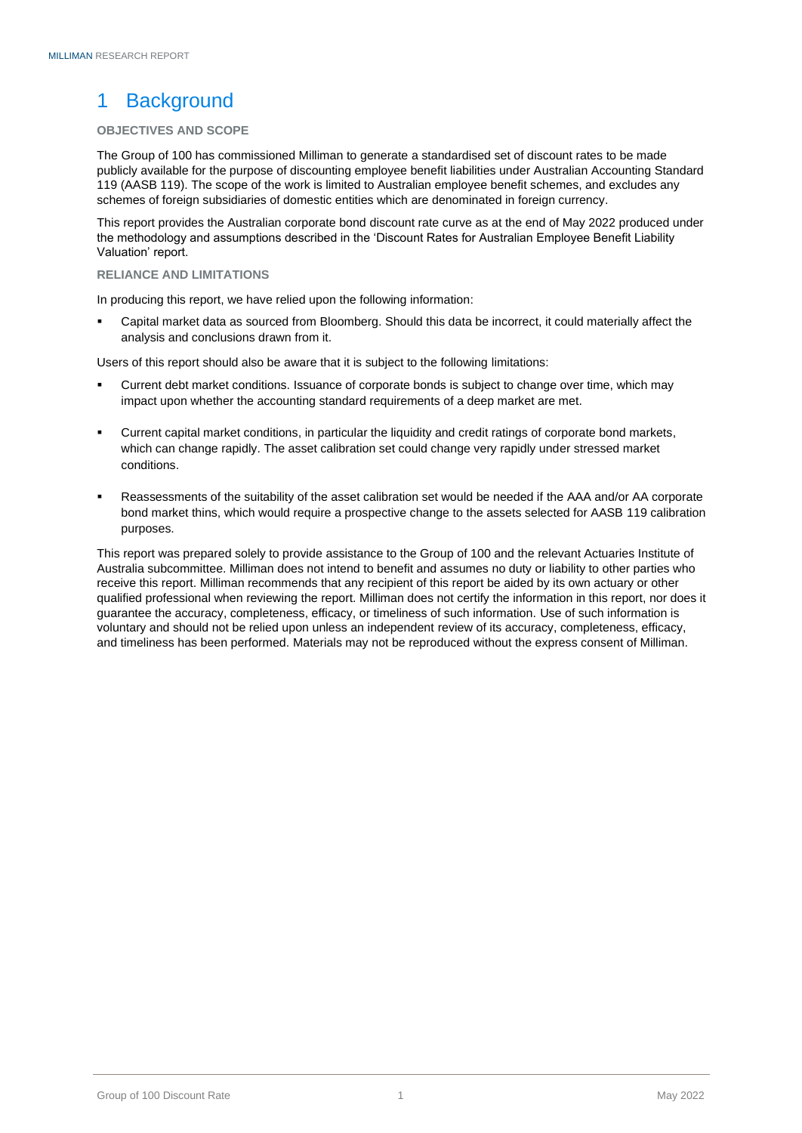### <span id="page-2-0"></span>1 Background

#### <span id="page-2-1"></span>**OBJECTIVES AND SCOPE**

The Group of 100 has commissioned Milliman to generate a standardised set of discount rates to be made publicly available for the purpose of discounting employee benefit liabilities under Australian Accounting Standard 119 (AASB 119). The scope of the work is limited to Australian employee benefit schemes, and excludes any schemes of foreign subsidiaries of domestic entities which are denominated in foreign currency.

This report provides the Australian corporate bond discount rate curve as at the end of May 2022 produced under the methodology and assumptions described in the 'Discount Rates for Australian Employee Benefit Liability Valuation' report.

#### <span id="page-2-2"></span>**RELIANCE AND LIMITATIONS**

In producing this report, we have relied upon the following information:

Capital market data as sourced from Bloomberg. Should this data be incorrect, it could materially affect the analysis and conclusions drawn from it.

Users of this report should also be aware that it is subject to the following limitations:

- Current debt market conditions. Issuance of corporate bonds is subject to change over time, which may impact upon whether the accounting standard requirements of a deep market are met.
- Current capital market conditions, in particular the liquidity and credit ratings of corporate bond markets, which can change rapidly. The asset calibration set could change very rapidly under stressed market conditions.
- Reassessments of the suitability of the asset calibration set would be needed if the AAA and/or AA corporate bond market thins, which would require a prospective change to the assets selected for AASB 119 calibration purposes.

This report was prepared solely to provide assistance to the Group of 100 and the relevant Actuaries Institute of Australia subcommittee. Milliman does not intend to benefit and assumes no duty or liability to other parties who receive this report. Milliman recommends that any recipient of this report be aided by its own actuary or other qualified professional when reviewing the report. Milliman does not certify the information in this report, nor does it guarantee the accuracy, completeness, efficacy, or timeliness of such information. Use of such information is voluntary and should not be relied upon unless an independent review of its accuracy, completeness, efficacy, and timeliness has been performed. Materials may not be reproduced without the express consent of Milliman.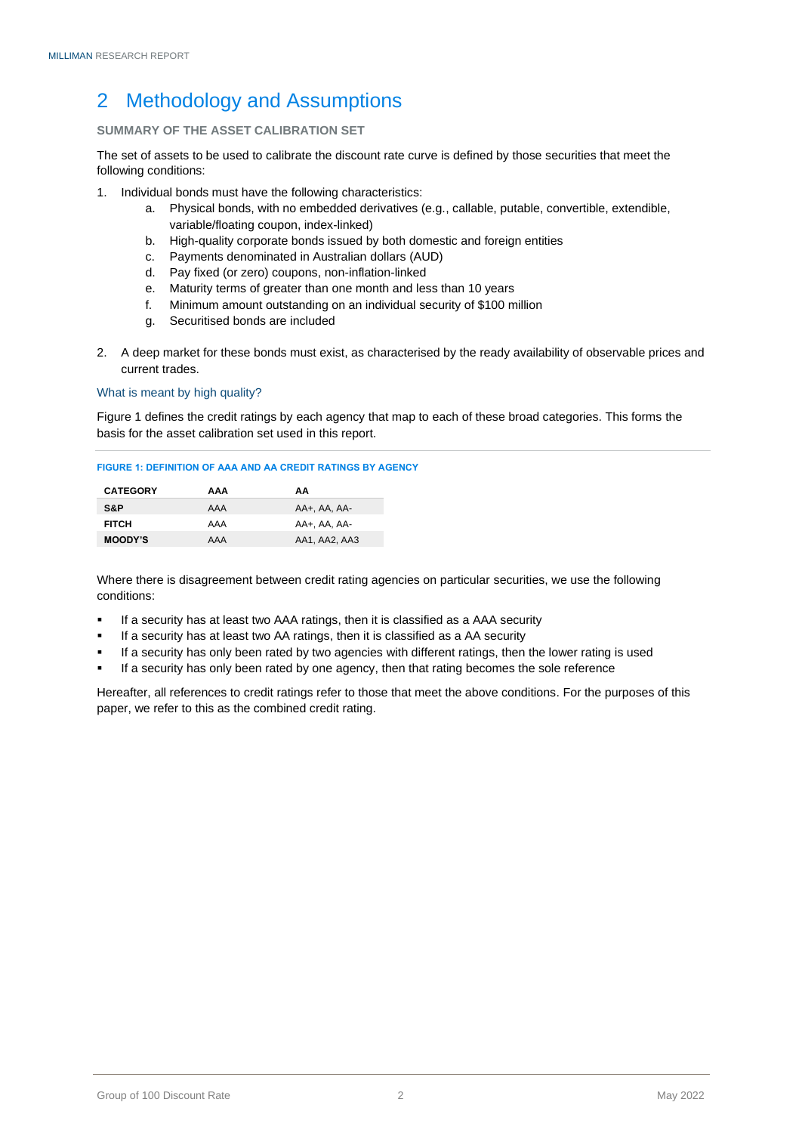### <span id="page-3-0"></span>2 Methodology and Assumptions

#### <span id="page-3-1"></span>**SUMMARY OF THE ASSET CALIBRATION SET**

The set of assets to be used to calibrate the discount rate curve is defined by those securities that meet the following conditions:

- 1. Individual bonds must have the following characteristics:
	- a. Physical bonds, with no embedded derivatives (e.g., callable, putable, convertible, extendible, variable/floating coupon, index-linked)
	- b. High-quality corporate bonds issued by both domestic and foreign entities
	- c. Payments denominated in Australian dollars (AUD)
	- d. Pay fixed (or zero) coupons, non-inflation-linked
	- e. Maturity terms of greater than one month and less than 10 years
	- f. Minimum amount outstanding on an individual security of \$100 million
	- g. Securitised bonds are included
- 2. A deep market for these bonds must exist, as characterised by the ready availability of observable prices and current trades.

#### What is meant by high quality?

Figure 1 defines the credit ratings by each agency that map to each of these broad categories. This forms the basis for the asset calibration set used in this report.

#### **FIGURE 1: DEFINITION OF AAA AND AA CREDIT RATINGS BY AGENCY**

| <b>CATEGORY</b> | AAA | АΑ            |
|-----------------|-----|---------------|
| S&P             | AAA | AA+. AA. AA-  |
| <b>FITCH</b>    | AAA | AA+, AA, AA-  |
| <b>MOODY'S</b>  | AAA | AA1, AA2, AA3 |

Where there is disagreement between credit rating agencies on particular securities, we use the following conditions:

- If a security has at least two AAA ratings, then it is classified as a AAA security
- If a security has at least two AA ratings, then it is classified as a AA security
- If a security has only been rated by two agencies with different ratings, then the lower rating is used
- If a security has only been rated by one agency, then that rating becomes the sole reference

Hereafter, all references to credit ratings refer to those that meet the above conditions. For the purposes of this paper, we refer to this as the combined credit rating.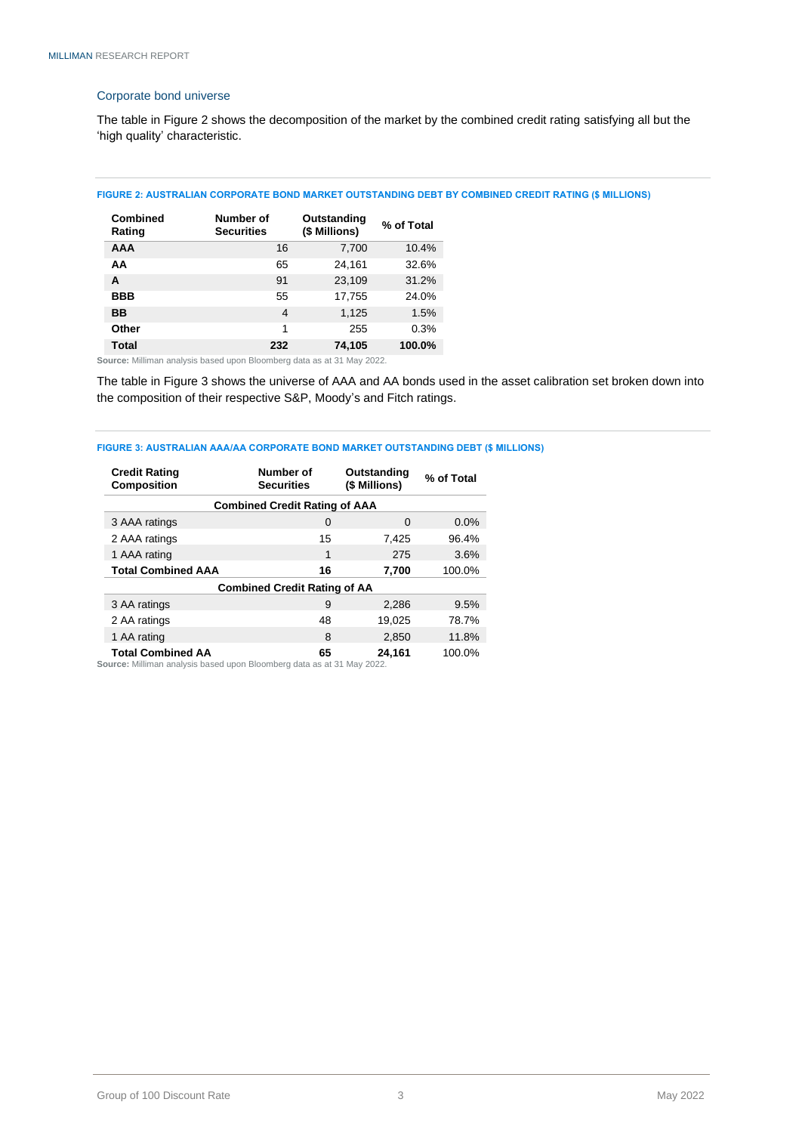#### Corporate bond universe

The table in Figure 2 shows the decomposition of the market by the combined credit rating satisfying all but the 'high quality' characteristic.

#### **FIGURE 2: AUSTRALIAN CORPORATE BOND MARKET OUTSTANDING DEBT BY COMBINED CREDIT RATING (\$ MILLIONS)**

| <b>Combined</b><br>Rating | Number of<br><b>Securities</b> | Outstanding<br>(\$ Millions) | % of Total |
|---------------------------|--------------------------------|------------------------------|------------|
| <b>AAA</b>                | 16                             | 7,700                        | 10.4%      |
| ΑA                        | 65                             | 24,161                       | 32.6%      |
| A                         | 91                             | 23,109                       | 31.2%      |
| <b>BBB</b>                | 55                             | 17,755                       | 24.0%      |
| ВB                        | 4                              | 1,125                        | 1.5%       |
| Other                     | 1                              | 255                          | 0.3%       |
| Total                     | 232                            | 74.105                       | 100.0%     |

**Source:** Milliman analysis based upon Bloomberg data as at 31 May 2022.

The table in Figure 3 shows the universe of AAA and AA bonds used in the asset calibration set broken down into the composition of their respective S&P, Moody's and Fitch ratings.

#### **FIGURE 3: AUSTRALIAN AAA/AA CORPORATE BOND MARKET OUTSTANDING DEBT (\$ MILLIONS)**

| <b>Credit Rating</b><br><b>Composition</b> | Number of<br><b>Securities</b> | Outstanding<br>(\$ Millions) | % of Total |  |
|--------------------------------------------|--------------------------------|------------------------------|------------|--|
| <b>Combined Credit Rating of AAA</b>       |                                |                              |            |  |
| 3 AAA ratings                              | 0                              | O                            | 0.0%       |  |
| 2 AAA ratings                              | 15                             | 7,425                        | 96.4%      |  |
| 1 AAA rating                               | 1                              | 275                          | 3.6%       |  |
| <b>Total Combined AAA</b>                  | 16                             | 7,700                        | 100.0%     |  |
| <b>Combined Credit Rating of AA</b>        |                                |                              |            |  |
| 3 AA ratings                               | 9                              | 2,286                        | 9.5%       |  |
| 2 AA ratings                               | 48                             | 19,025                       | 78.7%      |  |
| 1 AA rating                                | 8                              | 2,850                        | 11.8%      |  |
| <b>Total Combined AA</b>                   | 65                             | 24,161                       | 100.0%     |  |

**Source:** Milliman analysis based upon Bloomberg data as at 31 May 2022.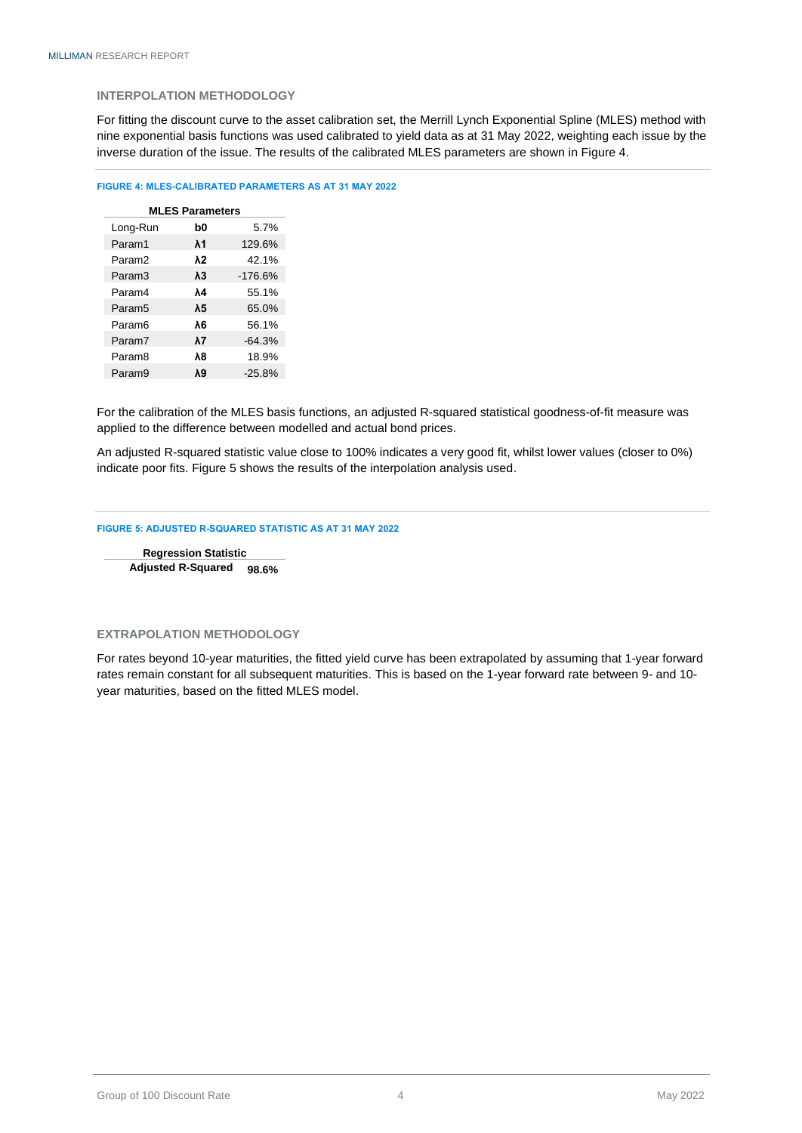#### <span id="page-5-0"></span>**INTERPOLATION METHODOLOGY**

For fitting the discount curve to the asset calibration set, the Merrill Lynch Exponential Spline (MLES) method with nine exponential basis functions was used calibrated to yield data as at 31 May 2022, weighting each issue by the inverse duration of the issue. The results of the calibrated MLES parameters are shown in Figure 4.

#### **FIGURE 4: MLES-CALIBRATED PARAMETERS AS AT 31 MAY 2022**

| <b>MLES Parameters</b> |             |           |  |
|------------------------|-------------|-----------|--|
| Long-Run               | b0          | 5.7%      |  |
| Param1                 | $\lambda$ 1 | 129.6%    |  |
| Param <sub>2</sub>     | λ2          | 42.1%     |  |
| Param3                 | λ3          | $-176.6%$ |  |
| Param4                 | ٨4          | 55.1%     |  |
| Param <sub>5</sub>     | λ5          | 65.0%     |  |
| Param <sub>6</sub>     | λ6          | 56.1%     |  |
| Param7                 | λ7          | $-64.3%$  |  |
| Param <sub>8</sub>     | λ8          | 18.9%     |  |
| Param <sub>9</sub>     | λ9          | $-25.8%$  |  |

For the calibration of the MLES basis functions, an adjusted R-squared statistical goodness-of-fit measure was applied to the difference between modelled and actual bond prices.

An adjusted R-squared statistic value close to 100% indicates a very good fit, whilst lower values (closer to 0%) indicate poor fits. Figure 5 shows the results of the interpolation analysis used.

#### **FIGURE 5: ADJUSTED R-SQUARED STATISTIC AS AT 31 MAY 2022**

**Regression Statistic Adjusted R-Squared 98.6%**

#### <span id="page-5-1"></span>**EXTRAPOLATION METHODOLOGY**

For rates beyond 10-year maturities, the fitted yield curve has been extrapolated by assuming that 1-year forward rates remain constant for all subsequent maturities. This is based on the 1-year forward rate between 9- and 10 year maturities, based on the fitted MLES model.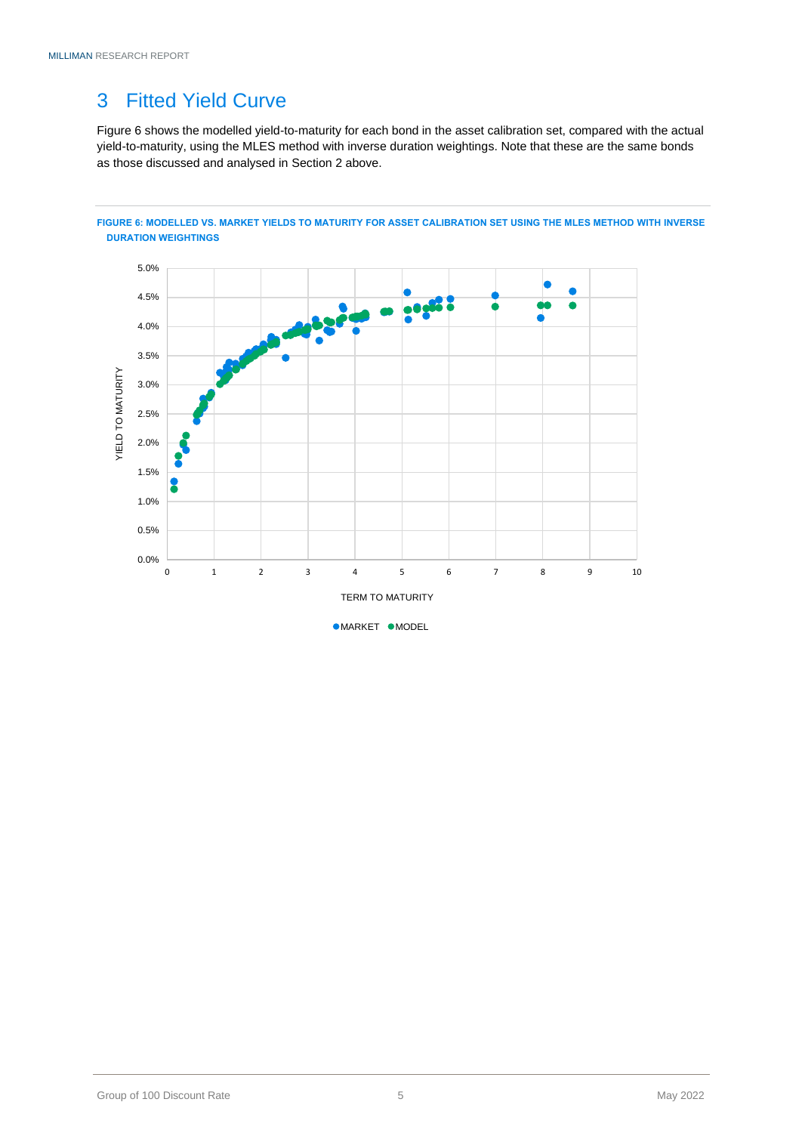### <span id="page-6-0"></span>3 Fitted Yield Curve

Figure 6 shows the modelled yield-to-maturity for each bond in the asset calibration set, compared with the actual yield-to-maturity, using the MLES method with inverse duration weightings. Note that these are the same bonds as those discussed and analysed in Section 2 above.



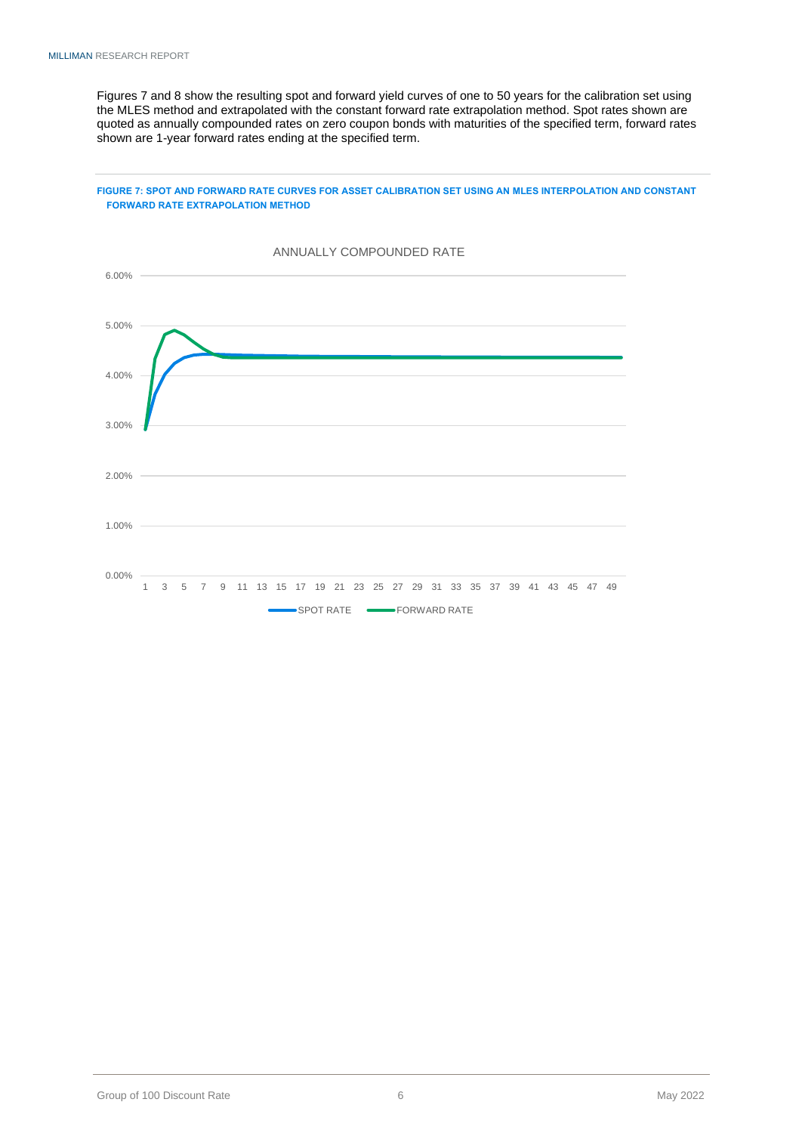Figures 7 and 8 show the resulting spot and forward yield curves of one to 50 years for the calibration set using the MLES method and extrapolated with the constant forward rate extrapolation method. Spot rates shown are quoted as annually compounded rates on zero coupon bonds with maturities of the specified term, forward rates shown are 1-year forward rates ending at the specified term.

#### **FIGURE 7: SPOT AND FORWARD RATE CURVES FOR ASSET CALIBRATION SET USING AN MLES INTERPOLATION AND CONSTANT FORWARD RATE EXTRAPOLATION METHOD**

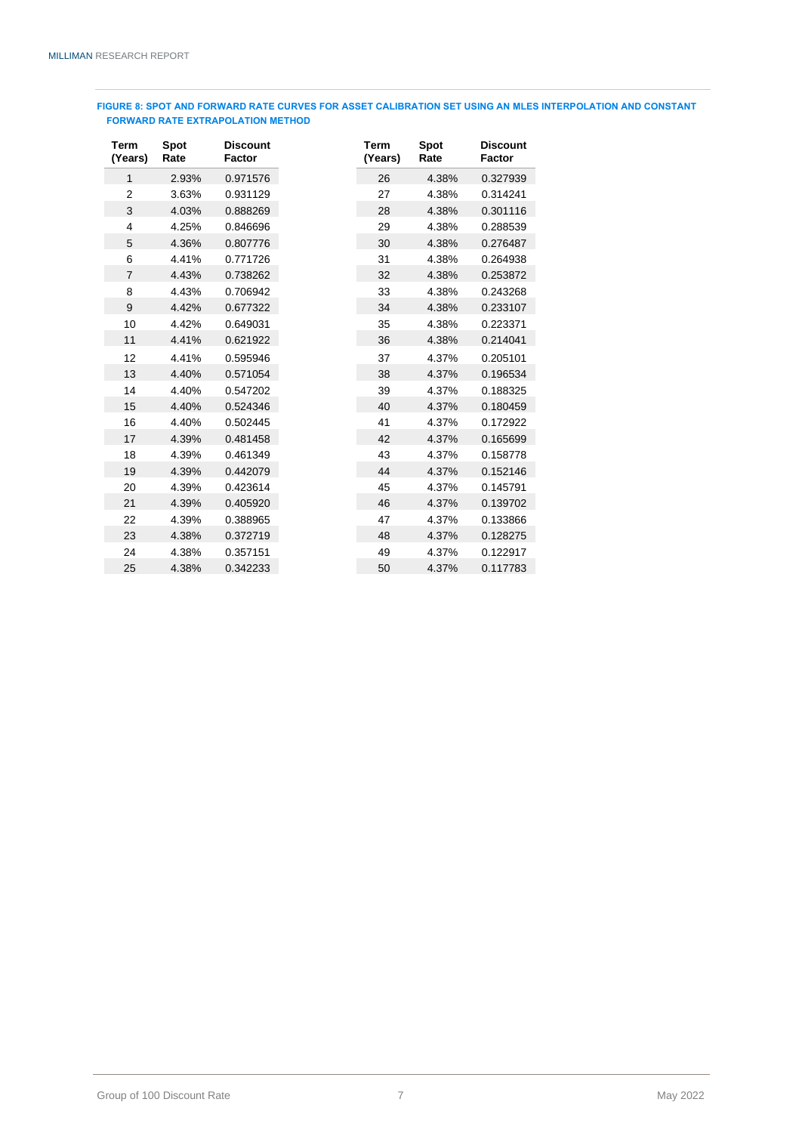#### **FIGURE 8: SPOT AND FORWARD RATE CURVES FOR ASSET CALIBRATION SET USING AN MLES INTERPOLATION AND CONSTANT FORWARD RATE EXTRAPOLATION METHOD**

| Term<br>(Years) | Spot<br>Rate | <b>Discount</b><br>Factor |
|-----------------|--------------|---------------------------|
| 1               | 2.93%        | 0.971576                  |
| $\overline{2}$  | 3.63%        | 0.931129                  |
| 3               | 4.03%        | 0.888269                  |
| 4               | 4.25%        | 0.846696                  |
| 5               | 4.36%        | 0.807776                  |
| 6               | 4.41%        | 0.771726                  |
| $\overline{7}$  | 4.43%        | 0.738262                  |
| 8               | 4.43%        | 0.706942                  |
| 9               | 4.42%        | 0.677322                  |
| 10              | 4.42%        | 0.649031                  |
| 11              | 4.41%        | 0.621922                  |
| 12              | 4.41%        | 0.595946                  |
| 13              | 4,40%        | 0.571054                  |
| 14              | 4.40%        | 0.547202                  |
| 15              | 4.40%        | 0.524346                  |
| 16              | 4.40%        | 0.502445                  |
| 17              | 4.39%        | 0.481458                  |
| 18              | 4.39%        | 0.461349                  |
| 19              | 4.39%        | 0.442079                  |
| 20              | 4.39%        | 0.423614                  |
| 21              | 4.39%        | 0.405920                  |
| 22              | 4.39%        | 0.388965                  |
| 23              | 4.38%        | 0.372719                  |
| 24              | 4.38%        | 0.357151                  |
| 25              | 4.38%        | 0.342233                  |

| rm<br>ears)  | <b>Spot</b><br>Rate | <b>Discount</b><br>Factor | Term<br>(Years) | <b>Spot</b><br>Rate | <b>Discount</b><br>Factor |
|--------------|---------------------|---------------------------|-----------------|---------------------|---------------------------|
| $\mathbf{1}$ | 2.93%               | 0.971576                  | 26              | 4.38%               | 0.327939                  |
| 2            | 3.63%               | 0.931129                  | 27              | 4.38%               | 0.314241                  |
| 3            | 4.03%               | 0.888269                  | 28              | 4.38%               | 0.301116                  |
| 4            | 4.25%               | 0.846696                  | 29              | 4.38%               | 0.288539                  |
| 5            | 4.36%               | 0.807776                  | 30              | 4.38%               | 0.276487                  |
| 6            | 4.41%               | 0.771726                  | 31              | 4.38%               | 0.264938                  |
| 7            | 4.43%               | 0.738262                  | 32              | 4.38%               | 0.253872                  |
| 8            | 4.43%               | 0.706942                  | 33              | 4.38%               | 0.243268                  |
| 9            | 4.42%               | 0.677322                  | 34              | 4.38%               | 0.233107                  |
| 10           | 4.42%               | 0.649031                  | 35              | 4.38%               | 0.223371                  |
| 11           | 4.41%               | 0.621922                  | 36              | 4.38%               | 0.214041                  |
| 12           | 4.41%               | 0.595946                  | 37              | 4.37%               | 0.205101                  |
| 13           | 4.40%               | 0.571054                  | 38              | 4.37%               | 0.196534                  |
| 14           | 4.40%               | 0.547202                  | 39              | 4.37%               | 0.188325                  |
| 15           | 4.40%               | 0.524346                  | 40              | 4.37%               | 0.180459                  |
| 16           | 4.40%               | 0.502445                  | 41              | 4.37%               | 0.172922                  |
| 17           | 4.39%               | 0.481458                  | 42              | 4.37%               | 0.165699                  |
| 18           | 4.39%               | 0.461349                  | 43              | 4.37%               | 0.158778                  |
| 19           | 4.39%               | 0.442079                  | 44              | 4.37%               | 0.152146                  |
| 20           | 4.39%               | 0.423614                  | 45              | 4.37%               | 0.145791                  |
| 21           | 4.39%               | 0.405920                  | 46              | 4.37%               | 0.139702                  |
| 22           | 4.39%               | 0.388965                  | 47              | 4.37%               | 0.133866                  |
| 23           | 4.38%               | 0.372719                  | 48              | 4.37%               | 0.128275                  |
| 24           | 4.38%               | 0.357151                  | 49              | 4.37%               | 0.122917                  |
| 25           | 4.38%               | 0.342233                  | 50              | 4.37%               | 0.117783                  |
|              |                     |                           |                 |                     |                           |

Group of 100 Discount Rate May 2022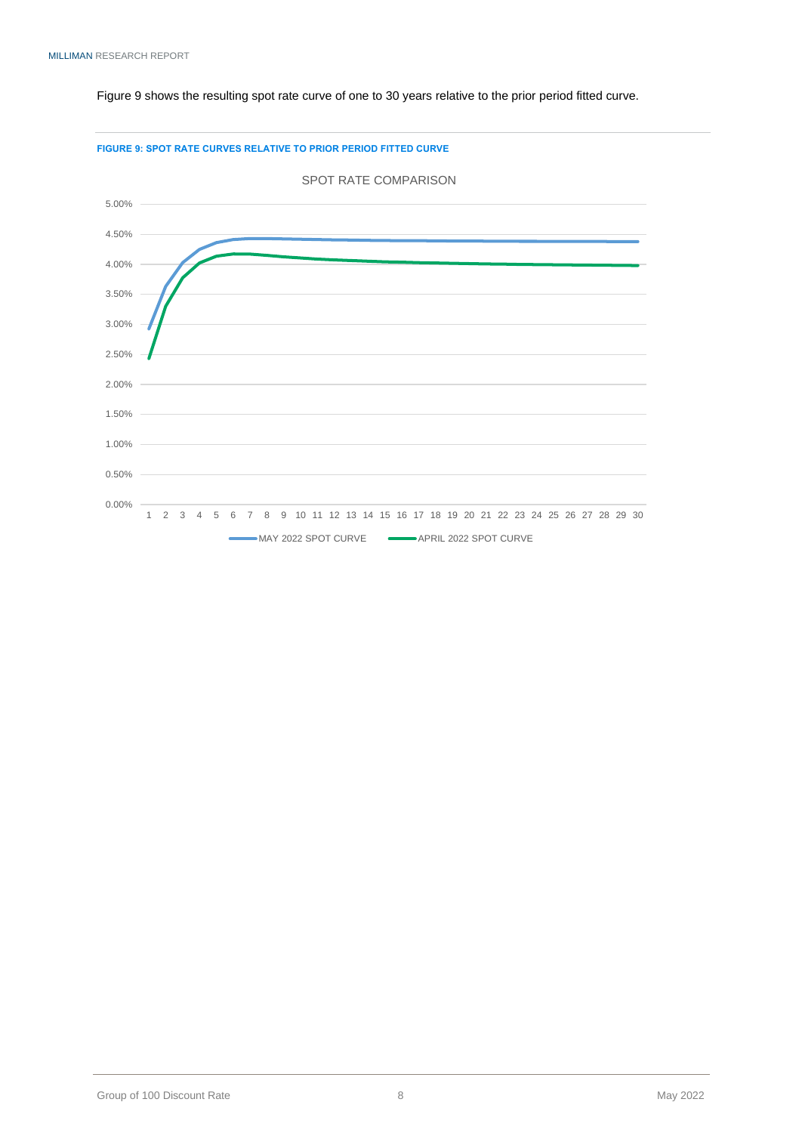#### Figure 9 shows the resulting spot rate curve of one to 30 years relative to the prior period fitted curve.



#### **FIGURE 9: SPOT RATE CURVES RELATIVE TO PRIOR PERIOD FITTED CURVE**